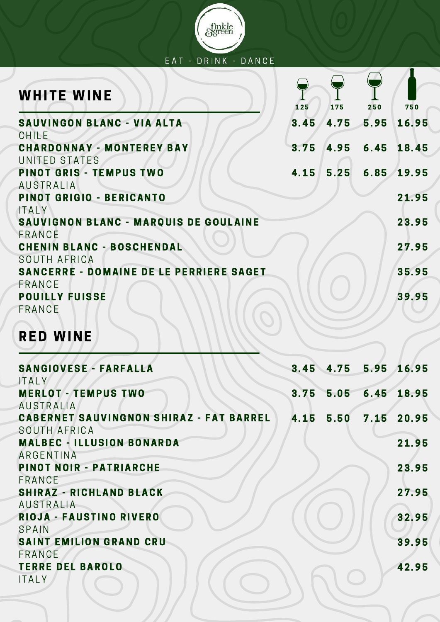

| <b>WHITE WINE</b>                                        | 125  | 175  | 250  | 750        |
|----------------------------------------------------------|------|------|------|------------|
| SAUVINGON BLANC - VIA ALTA<br>CHILE                      | 3.45 | 4.75 | 5.95 | 16.95      |
| <b>CHARDONNAY - MONTEREY BAY</b><br>UNITED STATES        | 3.75 | 4.95 |      | 6.45 18.45 |
| <b>PINOT GRIS - TEMPUS TWO</b><br><b>AUSTRALIA</b>       | 4.15 | 5.25 | 6.85 | 19.95      |
| PINOT GRIGIO - BERICANTO<br><b>ITALY</b>                 |      |      |      | 21.95      |
| SAUVIGNON BLANC - MARQUIS DE GOULAINE<br>FRANCE          |      |      |      | 23.95      |
| <b>CHENIN BLANC - BOSCHENDAL</b><br>SOUTH AFRICA         |      |      |      | 27.95      |
| <b>SANCERRE - DOMAINE DE LE PERRIERE SAGET</b><br>FRANCE |      |      |      | 35.95      |
| <b>POUILLY FUISSE</b><br>FRANCE                          |      |      |      | 39.95      |

# RED WINE

| <b>SANGIOVESE - FARFALLA</b>                   |               | 3.45 4.75 5.95 16.95 |
|------------------------------------------------|---------------|----------------------|
| <b>ITALY</b>                                   |               |                      |
| <b>MERLOT - TEMPUS TWO</b>                     | $3.75$ $5.05$ | 6.45 18.95           |
| <b>AUSTRALIA</b>                               |               |                      |
| <b>CABERNET SAUVINGNON SHIRAZ - FAT BARREL</b> |               | 4.15 5.50 7.15 20.95 |
| SOUTH AFRICA                                   |               |                      |
| <b>MALBEC - ILLUSION BONARDA</b>               |               | 21.95                |
| ARGENTINA                                      |               |                      |
| <b>PINOT NOIR - PATRIARCHE</b>                 |               | 23.95                |
| FRANCE                                         |               |                      |
| <b>SHIRAZ - RICHLAND BLACK</b>                 |               | 27.95                |
| <b>AUSTRALIA</b>                               |               |                      |
| RIOJA - FAUSTINO RIVERO                        |               | 32.95                |
| SPAIN                                          |               |                      |
| <b>SAINT EMILION GRAND CRU</b>                 |               | 39.95                |
| FRANCE                                         |               |                      |
| <b>TERRE DEL BAROLO</b>                        |               | 42.95                |
| <b>ITALY</b>                                   |               |                      |
|                                                |               |                      |
|                                                |               |                      |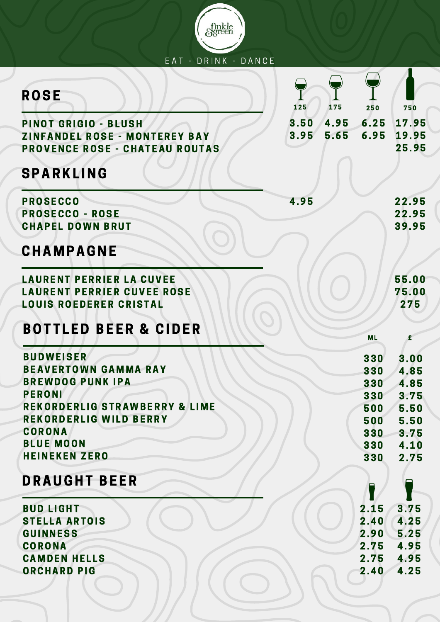| EAT - DRINK - DANCE                                                                                   |                              |                          |                              |
|-------------------------------------------------------------------------------------------------------|------------------------------|--------------------------|------------------------------|
| <b>ROSE</b>                                                                                           | 125<br>175                   | 250                      | 750                          |
| PINOT GRIGIO - BLUSH<br><b>ZINFANDEL ROSE - MONTEREY BAY</b><br><b>PROVENCE ROSE - CHATEAU ROUTAS</b> | 3.50<br>4.95<br>3.95<br>5.65 | 6.25<br>6.95             | 17.95<br>19.95<br>25.95      |
| <b>SPARKLING</b>                                                                                      |                              |                          |                              |
| <b>PROSECCO</b><br><b>PROSECCO - ROSE</b><br><b>CHAPEL DOWN BRUT</b>                                  | 4.95                         |                          | 22.95<br>22.95<br>39.95      |
| <b>CHAMPAGNE</b>                                                                                      |                              |                          |                              |
| <b>LAURENT PERRIER LA CUVEE</b><br><b>LAURENT PERRIER CUVEE ROSE</b><br><b>LOUIS ROEDERER CRISTAL</b> |                              |                          | 55.00<br>75.00<br>275        |
| BOTTLED BEER & CIDER                                                                                  |                              | <b>ML</b>                | £                            |
| <b>BUDWEISER</b><br><b>BEAVERTOWN GAMMA RAY</b><br><b>BREWDOG PUNK IPA</b><br><b>PERONI</b>           |                              | 330<br>330<br>330        | 3.00<br>4.85<br>4.85         |
| <b>REKORDERLIG STRAWBERRY &amp; LIME</b><br><b>REKORDERLIG WILD BERRY</b><br><b>CORONA</b>            |                              | 330<br>500<br>500<br>330 | 3.75<br>5.50<br>5.50<br>3.75 |
| <b>BLUE MOON</b><br><b>HEINEKEN ZERO</b>                                                              |                              | 330<br>330               | 4.10<br>2.75                 |
| <b>DRAUGHT BEER</b>                                                                                   |                              |                          |                              |
| <b>BUD LIGHT</b><br><b>STELLA ARTOIS</b><br><b>GUINNESS</b>                                           |                              | 2.15<br>2.40<br>2.90     | 3.75<br>4.25<br>5.25         |
| <b>CORONA</b><br><b>CAMDEN HELLS</b><br><b>ORCHARD PIG</b>                                            |                              | 2.75<br>2.75<br>2.40     | 4.95<br>4.95<br>4.25         |

 $\cup$ 

 $\smash\smile$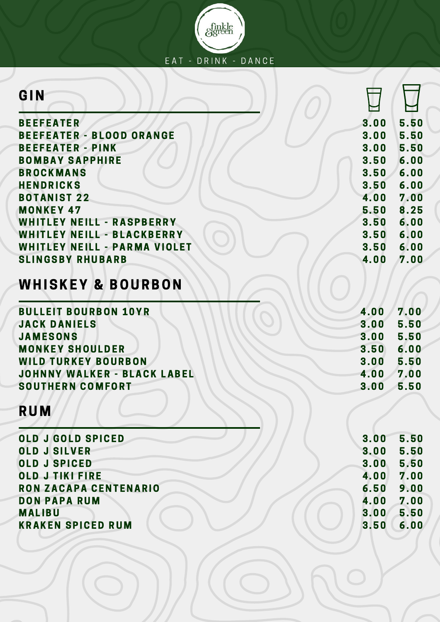

| GIN                                 |      |      |
|-------------------------------------|------|------|
| <b>BEEFEATER</b>                    | 3.00 | 5.50 |
| <b>BEEFEATER - BLOOD ORANGE</b>     | 3.00 | 5.50 |
| <b>BEEFEATER - PINK</b>             | 3.00 | 5.50 |
| <b>BOMBAY SAPPHIRE</b>              | 3.50 | 6.00 |
| <b>BROCKMANS</b>                    | 3.50 | 6.00 |
| <b>HENDRICKS</b>                    | 3.50 | 6.00 |
| <b>BOTANIST 22</b>                  | 4.00 | 7.00 |
| <b>MONKEY 47</b>                    | 5.50 | 8.25 |
| <b>WHITLEY NEILL - RASPBERRY</b>    | 3.50 | 6.00 |
| WHITLEY NEILL - BLACKBERRY          | 3.50 | 6.00 |
| <b>WHITLEY NEILL - PARMA VIOLET</b> | 3.50 | 6.00 |
| <b>SLINGSBY RHUBARB</b>             | 4.00 | 7.00 |
| <b>WHISKEY &amp; BOURBON</b>        |      |      |
| <b>BULLEIT BOURBON 10YR</b>         | 4.00 | 7.00 |
| <b>JACK DANIELS</b>                 | 3.00 | 5.50 |
| <b>JAMESONS</b>                     | 3.00 | 5.50 |
| <b>MONKEY SHOULDER</b>              | 3.50 | 6.00 |
| <b>WILD TURKEY BOURBON</b>          | 3.00 | 5.50 |
| <b>JOHNNY WALKER - BLACK LABEL</b>  | 4.00 | 7.00 |
| <b>SOUTHERN COMFORT</b>             | 3.00 | 5.50 |
| <b>RUM</b>                          |      |      |
| <b>OLD J GOLD SPICED</b>            | 3.00 | 5.50 |
| <b>OLD J SILVER</b>                 | 3.00 | 5.50 |
| <b>OLD J SPICED</b>                 | 3.00 | 5.50 |
| <b>OLD J TIKI FIRE</b>              | 4.00 | 7.00 |
| <b>RON ZACAPA CENTENARIO</b>        | 6.50 | 9.00 |
| <b>DON PAPA RUM</b>                 | 4.00 | 7.00 |
| <b>MALIBU</b>                       | 3.00 | 5.50 |
| <b>KRAKEN SPICED RUM</b>            | 3.50 | 6.00 |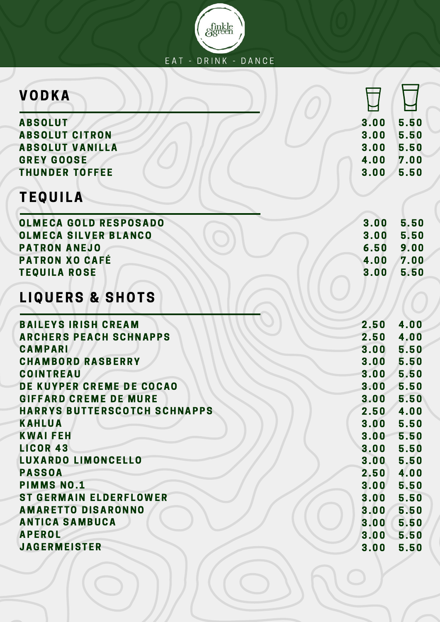

| <b>VODKA</b>                        |      |      |
|-------------------------------------|------|------|
| <b>ABSOLUT</b>                      | 3.00 | 5.50 |
| <b>ABSOLUT CITRON</b>               | 3.00 | 5.50 |
| <b>ABSOLUT VANILLA</b>              | 3.00 | 5.50 |
| <b>GREY GOOSE</b>                   | 4.00 | 7.00 |
| <b>THUNDER TOFFEE</b>               | 3.00 | 5.50 |
| <b>TEQUILA</b>                      |      |      |
| <b>OLMECA GOLD RESPOSADO</b>        | 3.00 | 5.50 |
| <b>OLMECA SILVER BLANCO</b>         | 3.00 | 5.50 |
| <b>PATRON ANEJO</b>                 | 6.50 | 9.00 |
| <b>PATRON XO CAFÉ</b>               | 4.00 | 7.00 |
| <b>TEQUILA ROSE</b>                 | 3.00 | 5.50 |
| <b>LIQUERS &amp; SHOTS</b>          |      |      |
| <b>BAILEYS IRISH CREAM</b>          | 2.50 | 4.00 |
| <b>ARCHERS PEACH SCHNAPPS</b>       | 2.50 | 4.00 |
| <b>CAMPARI</b>                      | 3.00 | 5.50 |
| <b>CHAMBORD RASBERRY</b>            | 3.00 | 5.50 |
| <b>COINTREAU</b>                    | 3.00 | 5.50 |
| DE KUYPER CREME DE COCAO            | 3.00 | 5.50 |
| <b>GIFFARD CREME DE MURE</b>        | 3.00 | 5.50 |
| <b>HARRYS BUTTERSCOTCH SCHNAPPS</b> | 2.50 | 4.00 |
| <b>KAHLUA</b>                       | 3.00 | 5.50 |
| <b>KWAIFEH</b>                      | 3.00 | 5.50 |
| <b>LICOR 43</b>                     | 3.00 | 5.50 |
| <b>LUXARDO LIMONCELLO</b>           | 3.00 | 5.50 |
| <b>PASSOA</b>                       | 2.50 | 4.00 |
| <b>PIMMS NO.1</b>                   | 3.00 | 5.50 |
| <b>ST GERMAIN ELDERFLOWER</b>       | 3.00 | 5.50 |
| <b>AMARETTO DISARONNO</b>           | 3.00 | 5.50 |
| <b>ANTICA SAMBUCA</b>               | 3.00 | 5.50 |
| <b>APEROL</b>                       | 3.00 | 5.50 |
| <b>JAGERMEISTER</b>                 | 3.00 | 5.50 |

 $\circledcirc$ 

 $\bigcirc$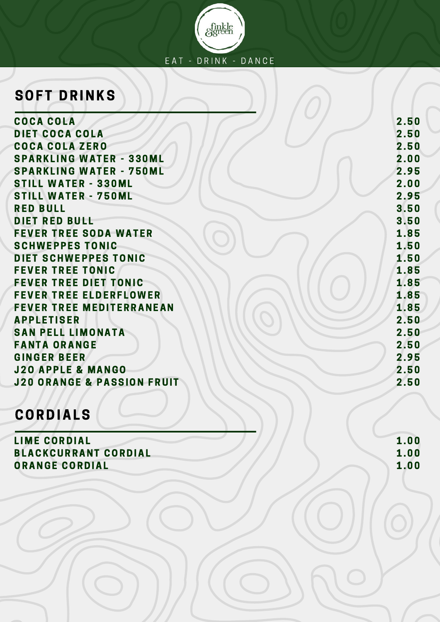

#### **SOFT DRINKS**

COCA COLA DIET COCA COLA COCA COLA Z ERO **SPARKLING WATER - 330ML SPARKLING WATER - 750ML STILL WATER - 330ML STILL WATER - 750ML RED BULL** DIET RED BULL **FEVER TREE SODA WATER** SCHWEPPES TONIC DIET SCHWEPPES TONIC **FEVER TREE TONIC FEVER TREE DIET TONIC** FEVER TREE ELDERFLOWER FEVER TREE MEDITERRANEAN **APPLETISER SAN PELL LIMONATA** FANTA ORANGE **GINGER BEER J20 APPLE & MANGO J20 ORANGE & PASSION FRUIT** 

#### CORDIALS

**LIME CORDIAL** BLACKCURRANT CORDIAL ORANGE CORDIAL